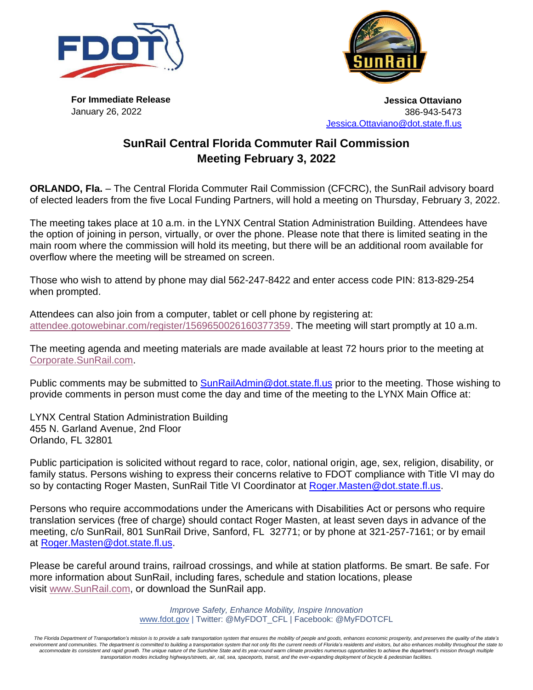



**For Immediate Release** January 26, 2022

**Jessica Ottaviano** 386-943-5473 [Jessica.Ottaviano@dot.state.fl.us](mailto:Jessica.Ottaviano@dot.state.fl.us)

## **SunRail Central Florida Commuter Rail Commission Meeting February 3, 2022**

**ORLANDO, Fla.** – The Central Florida Commuter Rail Commission (CFCRC), the SunRail advisory board of elected leaders from the five Local Funding Partners, will hold a meeting on Thursday, February 3, 2022.

The meeting takes place at 10 a.m. in the LYNX Central Station Administration Building. Attendees have the option of joining in person, virtually, or over the phone. Please note that there is limited seating in the main room where the commission will hold its meeting, but there will be an additional room available for overflow where the meeting will be streamed on screen.

Those who wish to attend by phone may dial 562-247-8422 and enter access code PIN: 813-829-254 when prompted.

Attendees can also join from a computer, tablet or cell phone by registering at: [attendee.gotowebinar.com/register/1569650026160377359.](https://gcc02.safelinks.protection.outlook.com/?url=https%3A%2F%2Fattendee.gotowebinar.com%2Fregister%2F1569650026160377359&data=04%7C01%7Cnadia.hernandez%40dot.state.fl.us%7C9962fb2da6fa43dc71c408d9daad36d7%7Cdb21de5dbc9c420c8f3f8f08f85b5ada%7C0%7C0%7C637781259761643175%7CUnknown%7CTWFpbGZsb3d8eyJWIjoiMC4wLjAwMDAiLCJQIjoiV2luMzIiLCJBTiI6Ik1haWwiLCJXVCI6Mn0%3D%7C3000&sdata=1DjF0uQj%2BFnVzCOhscWEYUoEdSqc8XiZthT5te%2BuuuM%3D&reserved=0) The meeting will start promptly at 10 a.m.

The meeting agenda and meeting materials are made available at least 72 hours prior to the meeting at [Corporate.SunRail.com.](https://corporate.sunrail.com/)

Public comments may be submitted to **[SunRailAdmin@dot.state.fl.us](mailto:SunRailAdmin@dot.state.fl.us)** prior to the meeting. Those wishing to provide comments in person must come the day and time of the meeting to the LYNX Main Office at:

LYNX Central Station Administration Building 455 N. Garland Avenue, 2nd Floor Orlando, FL 32801

Public participation is solicited without regard to race, color, national origin, age, sex, religion, disability, or family status. Persons wishing to express their concerns relative to FDOT compliance with Title VI may do so by contacting Roger Masten, SunRail Title VI Coordinator at Roger. Masten@dot.state.fl.us.

Persons who require accommodations under the Americans with Disabilities Act or persons who require translation services (free of charge) should contact Roger Masten, at least seven days in advance of the meeting, c/o SunRail, 801 SunRail Drive, Sanford, FL 32771; or by phone at 321-257-7161; or by email at [Roger.Masten@dot.state.fl.us.](mailto:Roger.Masten@dot.state.fl.us)

Please be careful around trains, railroad crossings, and while at station platforms. Be smart. Be safe. For more information about SunRail, including fares, schedule and station locations, please visit [www.SunRail.com,](http://www.sunrail.com/) or download the SunRail app.

> *Improve Safety, Enhance Mobility, Inspire Innovation* [www.fdot.gov](http://www.fdot.gov/) | Twitter: @MyFDOT\_CFL | Facebook: @MyFDOTCFL

The Florida Department of Transportation's mission is to provide a safe transportation system that ensures the mobility of people and goods, enhances economic prosperity, and preserves the quality of the state's environment and communities. The department is committed to building a transportation system that not only fits the current needs of Florida's residents and visitors, but also enhances mobility throughout the state to accommodate its consistent and rapid growth. The unique nature of the Sunshine State and its year-round warm climate provides numerous opportunities to achieve the department's mission through multiple *transportation modes including highways/streets, air, rail, sea, spaceports, transit, and the ever-expanding deployment of bicycle & pedestrian facilities.*